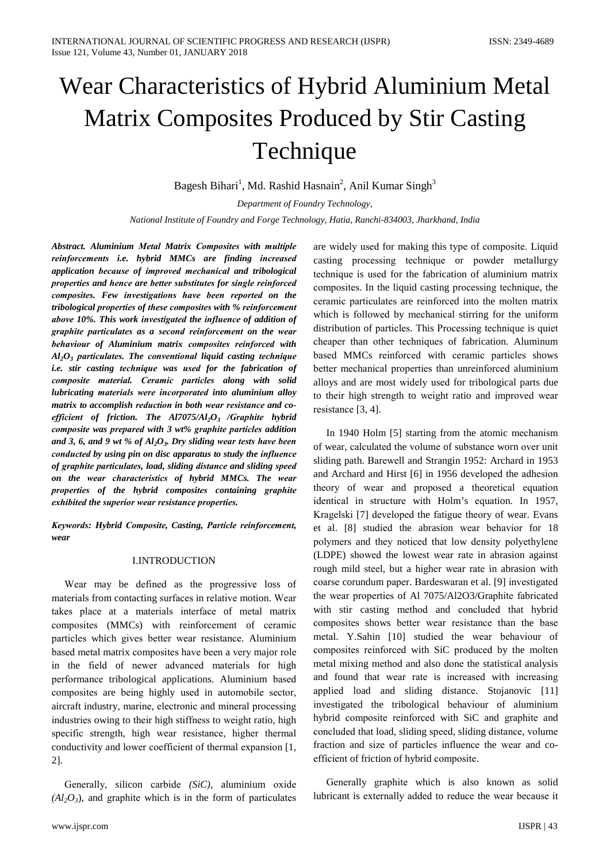# Wear Characteristics of Hybrid Aluminium Metal **Matrix Composites Produced by Stir Casting** Technique

Bagesh Bihari<sup>1</sup>, Md. Rashid Hasnain<sup>2</sup>, Anil Kumar Singh<sup>3</sup>

Department of Foundry Technology, National Institute of Foundry and Forge Technology, Hatia, Ranchi-834003, Jharkhand, India

Abstract. Aluminium Metal Matrix Composites with multiple reinforcements i.e. hybrid MMCs are finding increased application because of improved mechanical and tribological properties and hence are better substitutes for single reinforced composites. Few investigations have been reported on the tribological properties of these composites with % reinforcement above 10%. This work investigated the influence of addition of graphite particulates as a second reinforcement on the wear behaviour of Aluminium matrix composites reinforced with  $Al_2O_3$  particulates. The conventional liquid casting technique *i.e.* stir casting technique was used for the fabrication of composite material. Ceramic particles along with solid lubricating materials were incorporated into aluminium alloy matrix to accomplish reduction in both wear resistance and coefficient of friction. The  $A17075/A1_2O_3$  /Graphite hybrid composite was prepared with 3 wt% graphite particles addition and 3, 6, and 9 wt % of  $Al_2O_3$ . Dry sliding wear tests have been conducted by using pin on disc apparatus to study the influence of graphite particulates, load, sliding distance and sliding speed on the wear characteristics of hybrid MMCs. The wear properties of the hybrid composites containing graphite exhibited the superior wear resistance properties.

Keywords: Hybrid Composite, Casting, Particle reinforcement, wear

## **I.INTRODUCTION**

Wear may be defined as the progressive loss of materials from contacting surfaces in relative motion. Wear takes place at a materials interface of metal matrix composites (MMCs) with reinforcement of ceramic particles which gives better wear resistance. Aluminium based metal matrix composites have been a very major role in the field of newer advanced materials for high performance tribological applications. Aluminium based composites are being highly used in automobile sector, aircraft industry, marine, electronic and mineral processing industries owing to their high stiffness to weight ratio, high specific strength, high wear resistance, higher thermal conductivity and lower coefficient of thermal expansion [1, 21.

Generally, silicon carbide (SiC), aluminium oxide  $(Al_2O_3)$ , and graphite which is in the form of particulates are widely used for making this type of composite. Liquid casting processing technique or powder metallurgy technique is used for the fabrication of aluminium matrix composites. In the liquid casting processing technique, the ceramic particulates are reinforced into the molten matrix which is followed by mechanical stirring for the uniform distribution of particles. This Processing technique is quiet cheaper than other techniques of fabrication. Aluminum based MMCs reinforced with ceramic particles shows better mechanical properties than unreinforced aluminium alloys and are most widely used for tribological parts due to their high strength to weight ratio and improved wear resistance [3, 4].

In 1940 Holm [5] starting from the atomic mechanism of wear, calculated the volume of substance worn over unit sliding path. Barewell and Strangin 1952: Archard in 1953 and Archard and Hirst [6] in 1956 developed the adhesion theory of wear and proposed a theoretical equation identical in structure with Holm's equation. In 1957, Kragelski [7] developed the fatigue theory of wear. Evans et al. [8] studied the abrasion wear behavior for 18 polymers and they noticed that low density polyethylene (LDPE) showed the lowest wear rate in abrasion against rough mild steel, but a higher wear rate in abrasion with coarse corundum paper. Bardeswaran et al. [9] investigated the wear properties of Al 7075/Al2O3/Graphite fabricated with stir casting method and concluded that hybrid composites shows better wear resistance than the base metal. Y.Sahin [10] studied the wear behaviour of composites reinforced with SiC produced by the molten metal mixing method and also done the statistical analysis and found that wear rate is increased with increasing applied load and sliding distance. Stojanovic [11] investigated the tribological behaviour of aluminium hybrid composite reinforced with SiC and graphite and concluded that load, sliding speed, sliding distance, volume fraction and size of particles influence the wear and coefficient of friction of hybrid composite.

Generally graphite which is also known as solid lubricant is externally added to reduce the wear because it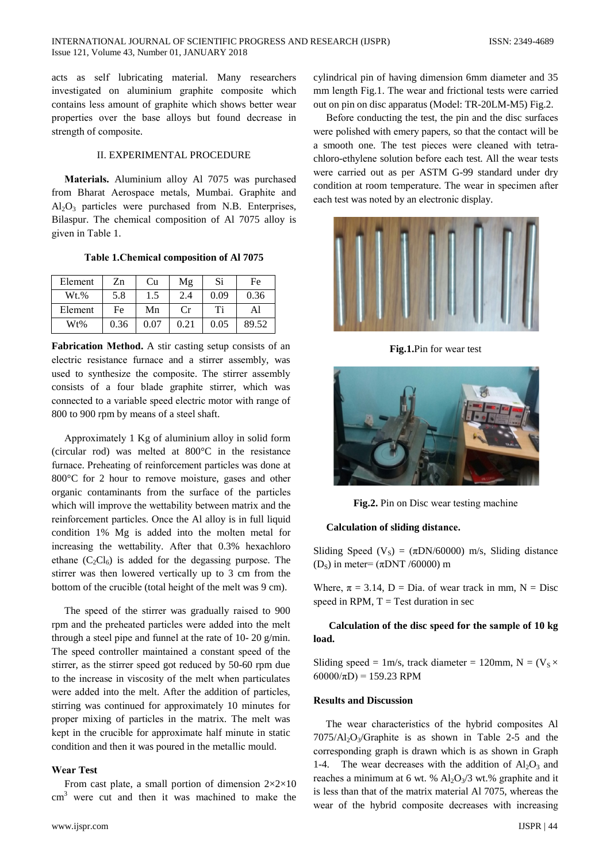acts as self lubricating material. Many researchers investigated on aluminium graphite composite which contains less amount of graphite which shows better wear properties over the base alloys but found decrease in strength of composite.

## **IL EXPERIMENTAL PROCEDURE**

Materials. Aluminium alloy Al 7075 was purchased from Bharat Aerospace metals, Mumbai. Graphite and  $Al_2O_3$  particles were purchased from N.B. Enterprises, Bilaspur. The chemical composition of Al 7075 alloy is given in Table 1.

Table 1. Chemical composition of Al 7075

| Element | Zn   | Cu   | Μg   | Si   | Fe    |
|---------|------|------|------|------|-------|
| $Wt.$ % | 5.8  | 1.5  | 2.4  | 0.09 | 0.36  |
| Element | Fe   | Mn   | Сr   | Ti   | Al    |
| Wt%     | 0.36 | 0.07 | 0.21 | 0.05 | 89.52 |

Fabrication Method. A stir casting setup consists of an electric resistance furnace and a stirrer assembly, was used to synthesize the composite. The stirrer assembly consists of a four blade graphite stirrer, which was connected to a variable speed electric motor with range of 800 to 900 rpm by means of a steel shaft.

Approximately 1 Kg of aluminium alloy in solid form (circular rod) was melted at  $800^{\circ}$ C in the resistance furnace. Preheating of reinforcement particles was done at 800°C for 2 hour to remove moisture, gases and other organic contaminants from the surface of the particles which will improve the wettability between matrix and the reinforcement particles. Once the Al alloy is in full liquid condition 1% Mg is added into the molten metal for increasing the wettability. After that 0.3% hexachloro ethane  $(C_2Cl_6)$  is added for the degassing purpose. The stirrer was then lowered vertically up to 3 cm from the bottom of the crucible (total height of the melt was 9 cm).

The speed of the stirrer was gradually raised to 900 rpm and the preheated particles were added into the melt through a steel pipe and funnel at the rate of 10- 20  $g/min$ . The speed controller maintained a constant speed of the stirrer, as the stirrer speed got reduced by 50-60 rpm due to the increase in viscosity of the melt when particulates were added into the melt. After the addition of particles, stirring was continued for approximately 10 minutes for proper mixing of particles in the matrix. The melt was kept in the crucible for approximate half minute in static condition and then it was poured in the metallic mould.

## **Wear Test**

From cast plate, a small portion of dimension  $2 \times 2 \times 10$  $\text{cm}^3$  were cut and then it was machined to make the cylindrical pin of having dimension 6mm diameter and 35 mm length Fig.1. The wear and frictional tests were carried out on pin on disc apparatus (Model: TR-20LM-M5) Fig.2.

Before conducting the test, the pin and the disc surfaces were polished with emery papers, so that the contact will be a smooth one. The test pieces were cleaned with tetrachloro-ethylene solution before each test. All the wear tests were carried out as per ASTM G-99 standard under dry condition at room temperature. The wear in specimen after each test was noted by an electronic display.



Fig.1.Pin for wear test



Fig.2. Pin on Disc wear testing machine

## **Calculation of sliding distance.**

Sliding Speed (V<sub>S</sub>) = ( $\pi$ DN/60000) m/s, Sliding distance (D<sub>S</sub>) in meter= ( $\pi$ DNT /60000) m

Where,  $\pi = 3.14$ , D = Dia. of wear track in mm, N = Disc speed in RPM,  $T = Test$  duration in sec

Calculation of the disc speed for the sample of 10 kg load.

Sliding speed = 1m/s, track diameter = 120mm, N =  $(V_s \times$  $60000/\pi D$  = 159.23 RPM

## **Results and Discussion**

The wear characteristics of the hybrid composites Al  $7075\overline{\text{Al}_2\text{O}_3/\text{Graphite}}$  is as shown in Table 2-5 and the corresponding graph is drawn which is as shown in Graph 1-4. The wear decreases with the addition of  $Al_2O_3$  and reaches a minimum at 6 wt. %  $Al_2O_3/3$  wt.% graphite and it is less than that of the matrix material Al 7075, whereas the wear of the hybrid composite decreases with increasing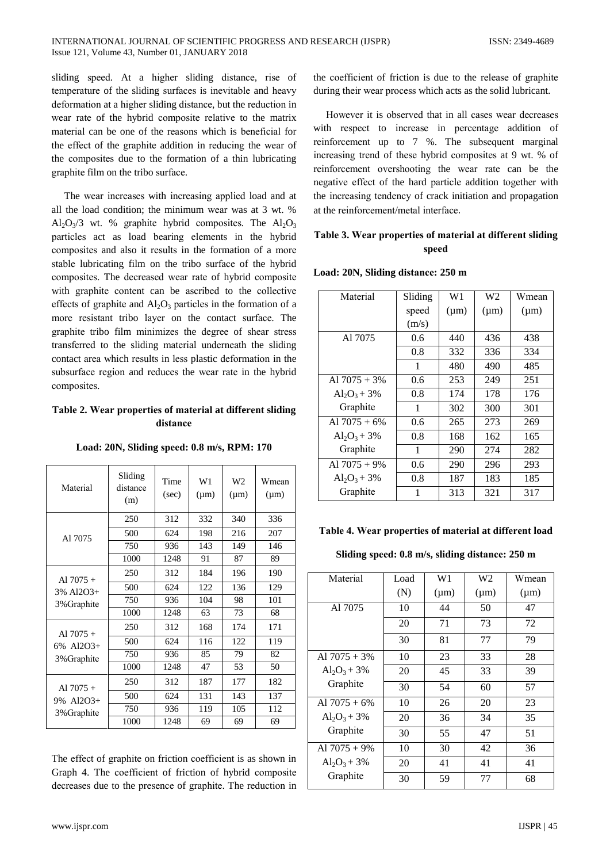sliding speed. At a higher sliding distance, rise of temperature of the sliding surfaces is inevitable and heavy deformation at a higher sliding distance, but the reduction in wear rate of the hybrid composite relative to the matrix material can be one of the reasons which is beneficial for the effect of the graphite addition in reducing the wear of the composites due to the formation of a thin lubricating graphite film on the tribo surface.

The wear increases with increasing applied load and at all the load condition: the minimum wear was at 3 wt. %  $Al_2O_3/3$  wt. % graphite hybrid composites. The  $Al_2O_3$ particles act as load bearing elements in the hybrid composites and also it results in the formation of a more stable lubricating film on the tribo surface of the hybrid composites. The decreased wear rate of hybrid composite with graphite content can be ascribed to the collective effects of graphite and  $Al_2O_3$  particles in the formation of a more resistant tribo layer on the contact surface. The graphite tribo film minimizes the degree of shear stress transferred to the sliding material underneath the sliding contact area which results in less plastic deformation in the subsurface region and reduces the wear rate in the hybrid composites.

# Table 2. Wear properties of material at different sliding distance

| Material                               | Sliding<br>distance<br>(m) | Time<br>(sec) | W1<br>$(\mu m)$ | W <sub>2</sub><br>$(\mu m)$ | Wmean<br>$(\mu m)$ |
|----------------------------------------|----------------------------|---------------|-----------------|-----------------------------|--------------------|
| A1 7075                                | 250                        | 312           | 332             | 340                         | 336                |
|                                        | 500                        | 624           | 198             | 216                         | 207                |
|                                        | 750                        | 936           | 143             | 149                         | 146                |
|                                        | 1000                       | 1248          | 91              | 87                          | 89                 |
| Al $7075+$                             | 250                        | 312           | 184             | 196                         | 190                |
| 3% Al2O3+                              | 500                        | 624           | 122             | 136                         | 129                |
| 3% Graphite                            | 750                        | 936           | 104             | 98                          | 101                |
|                                        | 1000                       | 1248          | 63              | 73                          | 68                 |
| Al $7075+$<br>6% Al2O3+<br>3% Graphite | 250                        | 312           | 168             | 174                         | 171                |
|                                        | 500                        | 624           | 116             | 122                         | 119                |
|                                        | 750                        | 936           | 85              | 79                          | 82                 |
|                                        | 1000                       | 1248          | 47              | 53                          | 50                 |
| Al $7075+$<br>9% Al2O3+                | 250                        | 312           | 187             | 177                         | 182                |
|                                        | 500                        | 624           | 131             | 143                         | 137                |
| 3% Graphite                            | 750                        | 936           | 119             | 105                         | 112                |
|                                        | 1000                       | 1248          | 69              | 69                          | 69                 |

Load: 20N, Sliding speed: 0.8 m/s, RPM: 170

The effect of graphite on friction coefficient is as shown in Graph 4. The coefficient of friction of hybrid composite decreases due to the presence of graphite. The reduction in the coefficient of friction is due to the release of graphite during their wear process which acts as the solid lubricant.

However it is observed that in all cases wear decreases with respect to increase in percentage addition of reinforcement up to 7 %. The subsequent marginal increasing trend of these hybrid composites at 9 wt. % of reinforcement overshooting the wear rate can be the negative effect of the hard particle addition together with the increasing tendency of crack initiation and propagation at the reinforcement/metal interface.

# Table 3. Wear properties of material at different sliding speed

| Material        | Sliding | W1        | W2        | Wmean     |
|-----------------|---------|-----------|-----------|-----------|
|                 | speed   | $(\mu m)$ | $(\mu m)$ | $(\mu m)$ |
|                 | (m/s)   |           |           |           |
| Al 7075         | 0.6     | 440       | 436       | 438       |
|                 | 0.8     | 332       | 336       | 334       |
|                 | 1       | 480       | 490       | 485       |
| Al $7075 + 3%$  | 0.6     | 253       | 249       | 251       |
| $Al_2O_3 + 3\%$ | 0.8     | 174       | 178       | 176       |
| Graphite        | 1       | 302       | 300       | 301       |
| Al $7075 + 6\%$ | 0.6     | 265       | 273       | 269       |
| $Al_2O_3 + 3\%$ | 0.8     | 168       | 162       | 165       |
| Graphite        | 1       | 290       | 274       | 282       |
| Al $7075 + 9\%$ | 0.6     | 290       | 296       | 293       |
| $Al_2O_3 + 3\%$ | 0.8     | 187       | 183       | 185       |
| Graphite        | 1       | 313       | 321       | 317       |

## Load: 20N, Sliding distance: 250 m

# Table 4. Wear properties of material at different load

## Sliding speed: 0.8 m/s, sliding distance: 250 m

| Material        | Load | W1        | W2        | Wmean     |
|-----------------|------|-----------|-----------|-----------|
|                 | (N)  | $(\mu m)$ | $(\mu m)$ | $(\mu m)$ |
| Al 7075         | 10   | 44        | 50        | 47        |
|                 | 20   | 71        | 73        | 72        |
|                 | 30   | 81        | 77        | 79        |
| Al $7075 + 3\%$ | 10   | 23        | 33        | 28        |
| $Al_2O_3 + 3\%$ | 20   | 45        | 33        | 39        |
| Graphite        | 30   | 54        | 60        | 57        |
| Al $7075 + 6\%$ | 10   | 26        | 20        | 23        |
| $Al_2O_3 + 3\%$ | 20   | 36        | 34        | 35        |
| Graphite        | 30   | 55        | 47        | 51        |
| Al $7075 + 9\%$ | 10   | 30        | 42        | 36        |
| $Al_2O_3 + 3\%$ | 20   | 41        | 41        | 41        |
| Graphite        | 30   | 59        | 77        | 68        |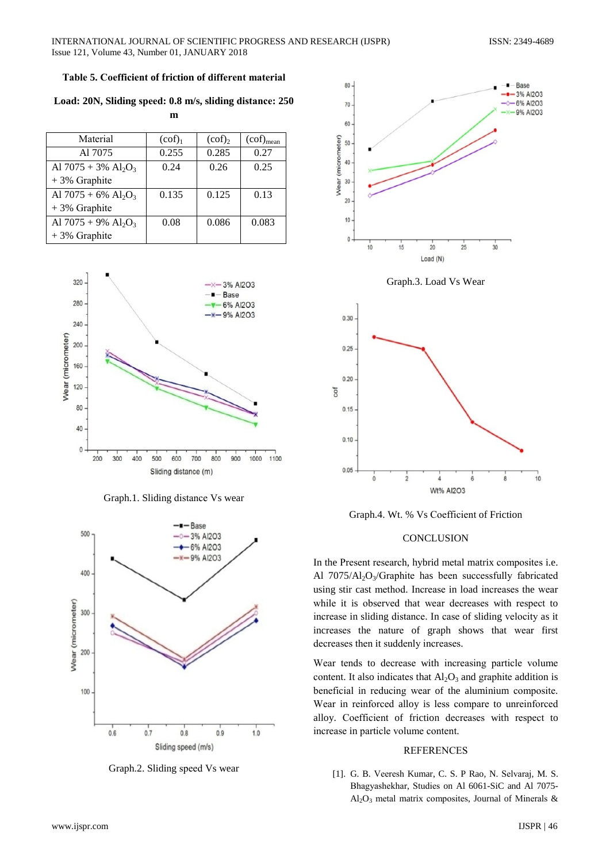## Table 5. Coefficient of friction of different material

Load: 20N, Sliding speed: 0.8 m/s, sliding distance: 250

 $\mathbf{m}$ 

| Material                                       | (cof) <sub>1</sub> | $(cof)_{2}$ | $(cof)_{mean}$ |
|------------------------------------------------|--------------------|-------------|----------------|
| A17075                                         | 0.255              | 0.285       | 0.27           |
| Al $7075 + 3\%$ Al <sub>2</sub> O <sub>3</sub> | 0.24               | 0.26        | 0.25           |
| $+3\%$ Graphite                                |                    |             |                |
| Al $7075 + 6\%$ Al <sub>2</sub> O <sub>3</sub> | 0.135              | 0.125       | 0.13           |
| $+3\%$ Graphite                                |                    |             |                |
| Al $7075 + 9\%$ Al <sub>2</sub> O <sub>3</sub> | 0.08               | 0.086       | 0.083          |
| $+3\%$ Graphite                                |                    |             |                |



Graph.1. Sliding distance Vs wear



Graph.2. Sliding speed Vs wear





Graph.4. Wt. % Vs Coefficient of Friction

## **CONCLUSION**

In the Present research, hybrid metal matrix composites i.e. Al  $7075/Al_2O_3/G$ raphite has been successfully fabricated using stir cast method. Increase in load increases the wear while it is observed that wear decreases with respect to increase in sliding distance. In case of sliding velocity as it increases the nature of graph shows that wear first decreases then it suddenly increases.

Wear tends to decrease with increasing particle volume content. It also indicates that  $Al_2O_3$  and graphite addition is beneficial in reducing wear of the aluminium composite. Wear in reinforced alloy is less compare to unreinforced alloy. Coefficient of friction decreases with respect to increase in particle volume content.

#### **REFERENCES**

[1]. G. B. Veeresh Kumar, C. S. P Rao, N. Selvaraj, M. S. Bhagyashekhar, Studies on Al 6061-SiC and Al 7075- $Al_2O_3$  metal matrix composites, Journal of Minerals &